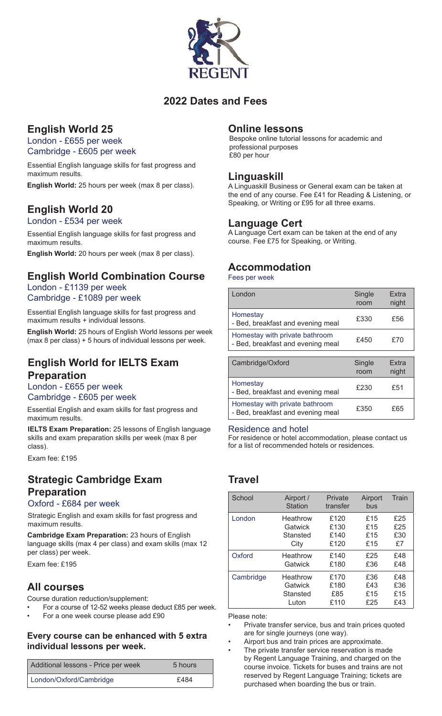

### **2022 Dates and Fees**

## **English World 25**

London - £655 per week Cambridge - £605 per week

Essential English language skills for fast progress and maximum results.

**English World:** 25 hours per week (max 8 per class).

## **English World 20**

London - £534 per week

Essential English language skills for fast progress and maximum results.

**English World:** 20 hours per week (max 8 per class).

# **English World Combination Course**

#### London - £1139 per week Cambridge - £1089 per week

Essential English language skills for fast progress and maximum results + individual lessons.

**English World:** 25 hours of English World lessons per week (max 8 per class) + 5 hours of individual lessons per week.

### **English World for IELTS Exam Preparation**

### London - £655 per week

Cambridge - £605 per week

Essential English and exam skills for fast progress and maximum results.

**IELTS Exam Preparation:** 25 lessons of English language skills and exam preparation skills per week (max 8 per class).

Exam fee: £195

# **Strategic Cambridge Exam Preparation**

#### Oxford - £684 per week

Strategic English and exam skills for fast progress and maximum results.

**Cambridge Exam Preparation:** 23 hours of English language skills (max 4 per class) and exam skills (max 12 per class) per week.

Exam fee: £195

### **All courses**

Course duration reduction/supplement:

- For a course of 12-52 weeks please deduct £85 per week.
- For a one week course please add £90

#### **Every course can be enhanced with 5 extra individual lessons per week.**

| Additional lessons - Price per week | 5 hours |
|-------------------------------------|---------|
| London/Oxford/Cambridge             | £484    |

### **Online lessons**

Bespoke online tutorial lessons for academic and professional purposes £80 per hour

### **Linguaskill**

A Linguaskill Business or General exam can be taken at the end of any course. Fee £41 for Reading & Listening, or Speaking, or Writing or £95 for all three exams.

### **Language Cert**

A Language Cert exam can be taken at the end of any course. Fee £75 for Speaking, or Writing.

### **Accommodation**

Fees per week

| London                                                              | Single<br>room | <b>Extra</b><br>night |
|---------------------------------------------------------------------|----------------|-----------------------|
| Homestay<br>- Bed, breakfast and evening meal                       | £330           | £56                   |
| Homestay with private bathroom<br>- Bed, breakfast and evening meal | £450           | f70                   |
|                                                                     |                |                       |
|                                                                     |                |                       |

| Cambridge/Oxford                                                    | Single<br>room | <b>Fxtra</b><br>night |
|---------------------------------------------------------------------|----------------|-----------------------|
| Homestay<br>- Bed, breakfast and evening meal                       | £230           | £51                   |
| Homestay with private bathroom<br>- Bed, breakfast and evening meal | £350           | £65                   |

#### Residence and hotel

For residence or hotel accommodation, please contact us for a list of recommended hotels or residences.

## **Travel**

| School    | Airport /<br>Station | Private<br>transfer | Airport<br>bus | Train |
|-----------|----------------------|---------------------|----------------|-------|
| London    | Heathrow             | £120                | £15            | £25   |
|           | Gatwick              | £130                | £15            | £25   |
|           | Stansted             | £140                | £15            | £30   |
|           | City                 | £120                | £15            | £7    |
| Oxford    | Heathrow             | £140                | £25            | £48   |
|           | Gatwick              | £180                | £36            | £48   |
| Cambridge | Heathrow             | £170                | £36            | £48   |
|           | Gatwick              | £180                | £43            | £36   |
|           | Stansted             | £85                 | £15            | £15   |
|           | Luton                | £110                | £25            | £43   |

Please note:

- Private transfer service, bus and train prices quoted are for single journeys (one way).
- Airport bus and train prices are approximate. The private transfer service reservation is made
- by Regent Language Training, and charged on the course invoice. Tickets for buses and trains are not reserved by Regent Language Training; tickets are purchased when boarding the bus or train.